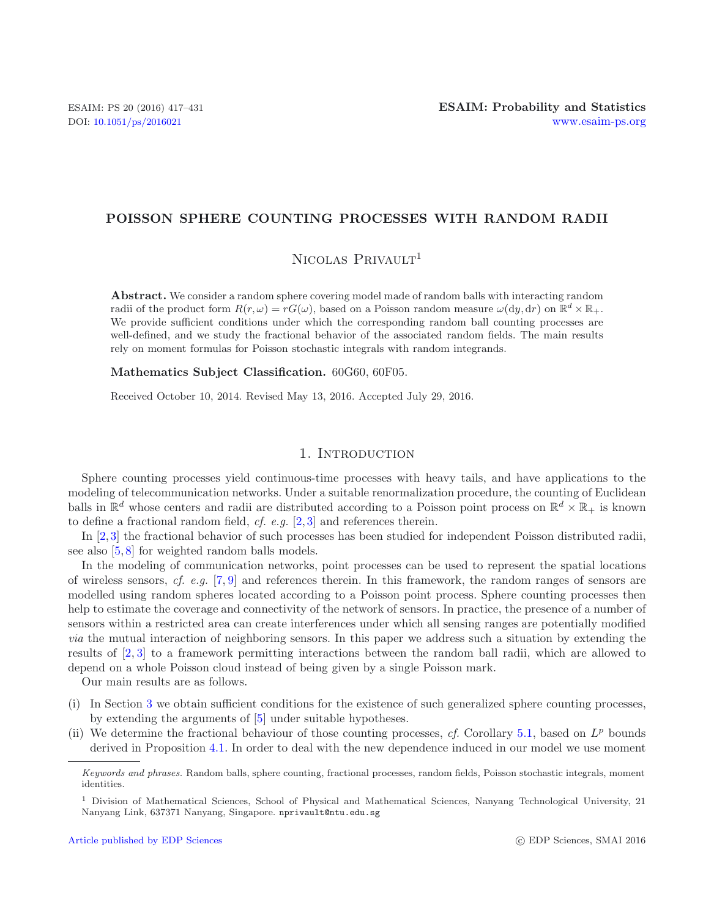### **POISSON SPHERE COUNTING PROCESSES WITH RANDOM RADII**

# $N_{\text{ICOLAS}}$  Privault<sup>1</sup>

**Abstract.** We consider a random sphere covering model made of random balls with interacting random radii of the product form  $R(r, \omega) = rG(\omega)$ , based on a Poisson random measure  $\omega(\mathrm{d}y, \mathrm{d}r)$  on  $\mathbb{R}^d \times \mathbb{R}_+$ . We provide sufficient conditions under which the corresponding random ball counting processes are well-defined, and we study the fractional behavior of the associated random fields. The main results rely on moment formulas for Poisson stochastic integrals with random integrands.

**Mathematics Subject Classification.** 60G60, 60F05.

Received October 10, 2014. Revised May 13, 2016. Accepted July 29, 2016.

### 1. INTRODUCTION

Sphere counting processes yield continuous-time processes with heavy tails, and have applications to the modeling of telecommunication networks. Under a suitable renormalization procedure, the counting of Euclidean balls in  $\mathbb{R}^d$  whose centers and radii are distributed according to a Poisson point process on  $\mathbb{R}^d \times \mathbb{R}_+$  is known to define a fractional random field, *cf. e.g.* [\[2,](#page-14-0) [3\]](#page-14-1) and references therein.

In [\[2](#page-14-0),[3](#page-14-1)] the fractional behavior of such processes has been studied for independent Poisson distributed radii, see also [\[5,](#page-14-2) [8\]](#page-14-3) for weighted random balls models.

In the modeling of communication networks, point processes can be used to represent the spatial locations of wireless sensors, *cf. e.g.* [\[7,](#page-14-4) [9\]](#page-14-5) and references therein. In this framework, the random ranges of sensors are modelled using random spheres located according to a Poisson point process. Sphere counting processes then help to estimate the coverage and connectivity of the network of sensors. In practice, the presence of a number of sensors within a restricted area can create interferences under which all sensing ranges are potentially modified *via* the mutual interaction of neighboring sensors. In this paper we address such a situation by extending the results of [\[2,](#page-14-0) [3](#page-14-1)] to a framework permitting interactions between the random ball radii, which are allowed to depend on a whole Poisson cloud instead of being given by a single Poisson mark.

Our main results are as follows.

- (i) In Section [3](#page-4-0) we obtain sufficient conditions for the existence of such generalized sphere counting processes, by extending the arguments of [\[5](#page-14-2)] under suitable hypotheses.
- (ii) We determine the fractional behaviour of those counting processes, *cf.* Corollary [5.1,](#page-13-0) based on  $L^p$  bounds derived in Proposition [4.1.](#page-8-0) In order to deal with the new dependence induced in our model we use moment

*Keywords and phrases.* Random balls, sphere counting, fractional processes, random fields, Poisson stochastic integrals, moment identities.

<sup>&</sup>lt;sup>1</sup> Division of Mathematical Sciences, School of Physical and Mathematical Sciences, Nanyang Technological University, 21 Nanyang Link, 637371 Nanyang, Singapore. nprivault@ntu.edu.sg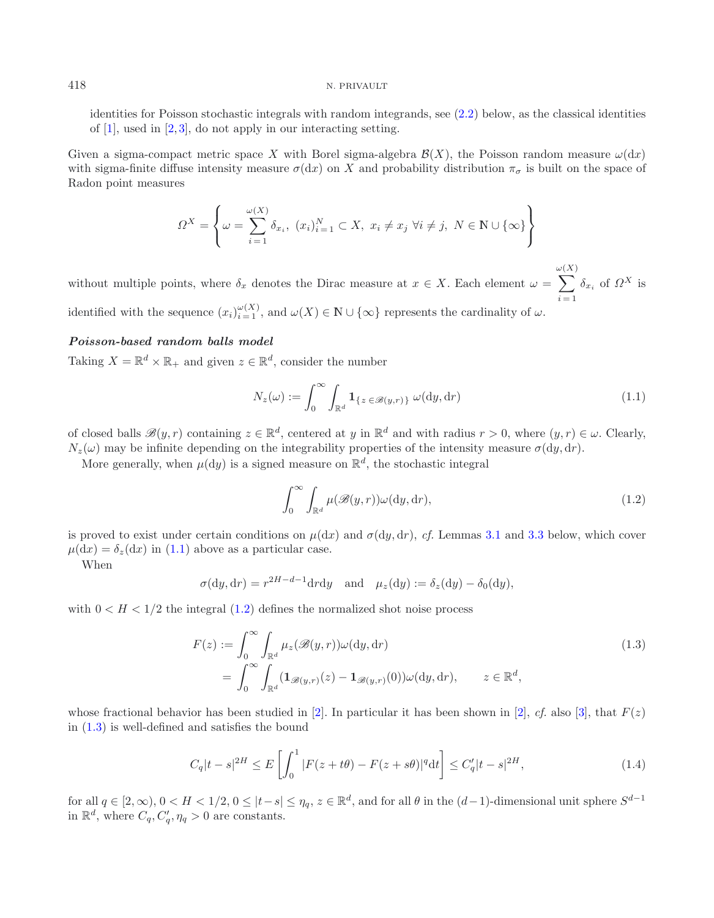identities for Poisson stochastic integrals with random integrands, see  $(2.2)$  below, as the classical identities of [\[1](#page-14-6)], used in [\[2](#page-14-0), [3](#page-14-1)], do not apply in our interacting setting.

Given a sigma-compact metric space X with Borel sigma-algebra  $\mathcal{B}(X)$ , the Poisson random measure  $\omega(dx)$ with sigma-finite diffuse intensity measure  $\sigma(dx)$  on X and probability distribution  $\pi_{\sigma}$  is built on the space of Radon point measures

<span id="page-1-0"></span>
$$
\Omega^X = \left\{ \omega = \sum_{i=1}^{\omega(X)} \delta_{x_i}, \ (x_i)_{i=1}^N \subset X, \ x_i \neq x_j \ \forall i \neq j, \ N \in \mathbb{N} \cup \{\infty\} \right\}
$$

without multiple points, where  $\delta_x$  denotes the Dirac measure at  $x \in X$ . Each element  $\omega =$ ω  $\sum$  $(X)$  $i = 1$  $\delta_{x_i}$  of  $\Omega^X$  is identified with the sequence  $(x_i)_{i=1}^{\omega(X)}$ , and  $\omega(X) \in \mathbb{N} \cup \{\infty\}$  represents the cardinality of  $\omega$ .

### *Poisson-based random balls model*

Taking  $X = \mathbb{R}^d \times \mathbb{R}_+$  and given  $z \in \mathbb{R}^d$ , consider the number

<span id="page-1-1"></span>
$$
N_z(\omega) := \int_0^\infty \int_{\mathbb{R}^d} \mathbf{1}_{\{z \in \mathcal{B}(y,r)\}} \omega(dy, dr)
$$
\n(1.1)

of closed balls  $\mathscr{B}(y,r)$  containing  $z \in \mathbb{R}^d$ , centered at y in  $\mathbb{R}^d$  and with radius  $r > 0$ , where  $(y, r) \in \omega$ . Clearly,  $N_z(\omega)$  may be infinite depending on the integrability properties of the intensity measure  $\sigma(dy, dr)$ .

More generally, when  $\mu(\mathrm{d}y)$  is a signed measure on  $\mathbb{R}^d$ , the stochastic integral

$$
\int_0^\infty \int_{\mathbb{R}^d} \mu(\mathcal{B}(y,r)) \omega(\mathrm{d}y, \mathrm{d}r),\tag{1.2}
$$

is proved to exist under certain conditions on  $\mu(dx)$  and  $\sigma(dy, dr)$ , *cf.* Lemmas [3.1](#page-4-1) and [3.3](#page-5-0) below, which cover  $\mu(dx) = \delta_z(dx)$  in [\(1.1\)](#page-1-0) above as a particular case.

When

<span id="page-1-3"></span>
$$
\sigma(\mathrm{d}y, \mathrm{d}r) = r^{2H-d-1}\mathrm{d}r\mathrm{d}y \quad \text{and} \quad \mu_z(\mathrm{d}y) := \delta_z(\mathrm{d}y) - \delta_0(\mathrm{d}y),
$$

<span id="page-1-2"></span>with  $0 < H < 1/2$  the integral [\(1.2\)](#page-1-1) defines the normalized shot noise process

$$
F(z) := \int_0^\infty \int_{\mathbb{R}^d} \mu_z(\mathcal{B}(y, r)) \omega(\mathrm{d}y, \mathrm{d}r)
$$
  
= 
$$
\int_0^\infty \int_{\mathbb{R}^d} (\mathbf{1}_{\mathcal{B}(y, r)}(z) - \mathbf{1}_{\mathcal{B}(y, r)}(0)) \omega(\mathrm{d}y, \mathrm{d}r), \qquad z \in \mathbb{R}^d,
$$
 (1.3)

whose fractional behavior has been studied in [\[2\]](#page-14-0). In particular it has been shown in [2], *cf.* also [\[3\]](#page-14-1), that  $F(z)$ in [\(1.3\)](#page-1-2) is well-defined and satisfies the bound

$$
C_q|t-s|^{2H} \le E\left[\int_0^1 |F(z+t\theta) - F(z+s\theta)|^q dt\right] \le C'_q|t-s|^{2H},\tag{1.4}
$$

for all  $q \in [2,\infty)$ ,  $0 < H < 1/2$ ,  $0 \leq |t-s| \leq \eta_q$ ,  $z \in \mathbb{R}^d$ , and for all  $\theta$  in the  $(d-1)$ -dimensional unit sphere  $S^{d-1}$ in  $\mathbb{R}^d$ , where  $C_q, C_q', \eta_q > 0$  are constants.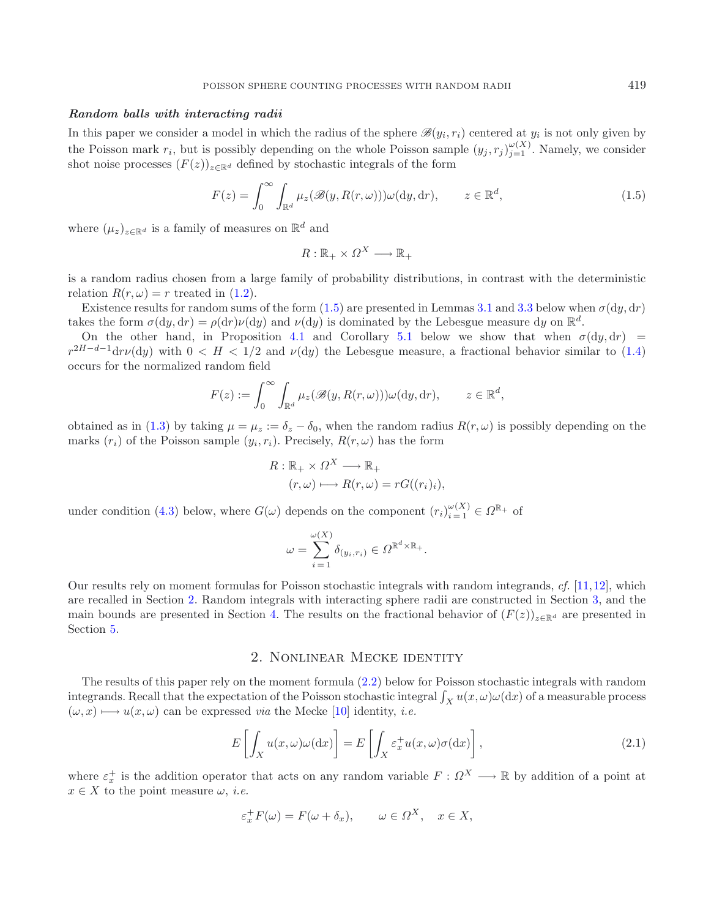### *Random balls with interacting radii*

In this paper we consider a model in which the radius of the sphere  $\mathscr{B}(y_i, r_i)$  centered at  $y_i$  is not only given by the Poisson mark  $r_i$ , but is possibly depending on the whole Poisson sample  $(y_j, r_j)_{i=1}^{\omega(X)}$ . Namely, we consider shot noise processes  $(F(z))_{z\in\mathbb{R}^d}$  defined by stochastic integrals of the form

<span id="page-2-0"></span>
$$
F(z) = \int_0^\infty \int_{\mathbb{R}^d} \mu_z(\mathcal{B}(y, R(r, \omega))) \omega(\mathrm{d}y, \mathrm{d}r), \qquad z \in \mathbb{R}^d,
$$
\n(1.5)

where  $(\mu_z)_{z \in \mathbb{R}^d}$  is a family of measures on  $\mathbb{R}^d$  and

$$
R: \mathbb{R}_+ \times \Omega^X \longrightarrow \mathbb{R}_+
$$

is a random radius chosen from a large family of probability distributions, in contrast with the deterministic relation  $R(r, \omega) = r$  treated in [\(1.2\)](#page-1-1).

Existence results for random sums of the form [\(1.5\)](#page-2-0) are presented in Lemmas [3.1](#page-4-1) and [3.3](#page-5-0) below when  $\sigma(du, dr)$ takes the form  $\sigma(dy, dr) = \rho(dr)\nu(dy)$  and  $\nu(dy)$  is dominated by the Lebesgue measure dy on  $\mathbb{R}^d$ .

On the other hand, in Proposition [4.1](#page-8-0) and Corollary [5.1](#page-13-0) below we show that when  $\sigma(dy, dr)$  =  $r^{2H-d-1}dr\nu(dy)$  with  $0 < H < 1/2$  and  $\nu(dy)$  the Lebesgue measure, a fractional behavior similar to [\(1.4\)](#page-1-3) occurs for the normalized random field

$$
F(z) := \int_0^\infty \int_{\mathbb{R}^d} \mu_z(\mathscr{B}(y, R(r,\omega))) \omega(\mathrm{d}y, \mathrm{d}r), \qquad z \in \mathbb{R}^d,
$$

obtained as in [\(1.3\)](#page-1-2) by taking  $\mu = \mu_z := \delta_z - \delta_0$ , when the random radius  $R(r, \omega)$  is possibly depending on the marks  $(r_i)$  of the Poisson sample  $(y_i, r_i)$ . Precisely,  $R(r, \omega)$  has the form

$$
R: \mathbb{R}_+ \times \Omega^X \longrightarrow \mathbb{R}_+
$$
  

$$
(r, \omega) \longmapsto R(r, \omega) = rG((r_i)_i),
$$

under condition [\(4.3\)](#page-8-1) below, where  $G(\omega)$  depends on the component  $(r_i)_{i=1}^{\omega(X)} \in \Omega^{\mathbb{R}_+}$  of

<span id="page-2-2"></span>
$$
\omega = \sum_{i=1}^{\omega(X)} \delta_{(y_i, r_i)} \in \Omega^{\mathbb{R}^d \times \mathbb{R}_+}.
$$

Our results rely on moment formulas for Poisson stochastic integrals with random integrands, *cf.* [\[11](#page-14-7),[12\]](#page-14-8), which are recalled in Section [2.](#page-2-1) Random integrals with interacting sphere radii are constructed in Section [3,](#page-4-0) and the main bounds are presented in Section [4.](#page-8-2) The results on the fractional behavior of  $(F(z))_{z\in\mathbb{R}^d}$  are presented in Section [5.](#page-12-0)

### 2. Nonlinear Mecke identity

<span id="page-2-1"></span>The results of this paper rely on the moment formula [\(2.2\)](#page-3-0) below for Poisson stochastic integrals with random integrands. Recall that the expectation of the Poisson stochastic integral  $\int_X u(x,\omega)\omega(\mathrm{d}x)$  of a measurable process  $(\omega, x) \longmapsto u(x, \omega)$  can be expressed *via* the Mecke [\[10](#page-14-9)] identity, *i.e.* 

$$
E\left[\int_X u(x,\omega)\omega(\mathrm{d}x)\right] = E\left[\int_X \varepsilon_x^+ u(x,\omega)\sigma(\mathrm{d}x)\right],\tag{2.1}
$$

where  $\varepsilon_x^+$  is the addition operator that acts on any random variable  $F: \Omega^X \longrightarrow \mathbb{R}$  by addition of a point at  $x \in X$  to the point measure  $\omega$ , *i.e.* 

$$
\varepsilon_x^+ F(\omega) = F(\omega + \delta_x), \qquad \omega \in \Omega^X, \quad x \in X,
$$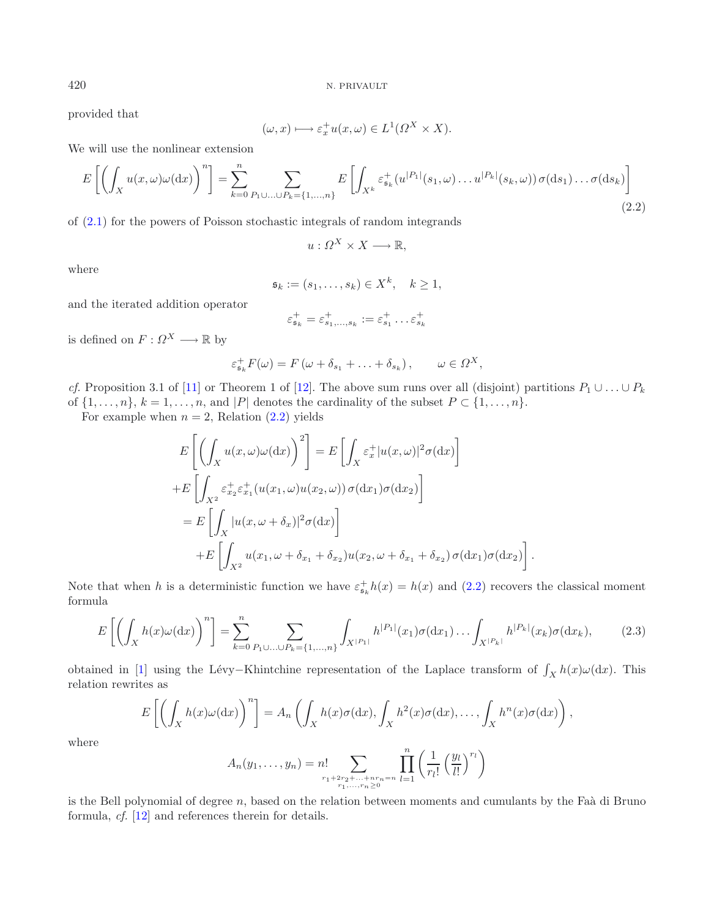provided that

$$
(\omega, x) \longmapsto \varepsilon_x^+ u(x, \omega) \in L^1(\Omega^X \times X).
$$

We will use the nonlinear extension

$$
E\left[\left(\int_X u(x,\omega)\omega(\mathrm{d}x)\right)^n\right] = \sum_{k=0}^n \sum_{P_1 \cup \ldots \cup P_k = \{1,\ldots,n\}} E\left[\int_{X^k} \varepsilon_{\mathfrak{s}_k}^+(u^{|P_1|}(s_1,\omega)\ldots u^{|P_k|}(s_k,\omega))\,\sigma(\mathrm{d}s_1)\ldots\sigma(\mathrm{d}s_k)\right]
$$
\n(2.2)

of [\(2.1\)](#page-2-2) for the powers of Poisson stochastic integrals of random integrands

$$
u: \Omega^X \times X \longrightarrow \mathbb{R},
$$

where

$$
\mathfrak{s}_k := (s_1, \ldots, s_k) \in X^k, \quad k \ge 1,
$$

and the iterated addition operator

$$
\varepsilon_{\mathfrak{s}_k}^+ = \varepsilon_{s_1,\ldots,s_k}^+ := \varepsilon_{s_1}^+ \ldots \varepsilon_{s_k}^+
$$

is defined on  $F: \Omega^X \longrightarrow \mathbb{R}$  by

$$
\varepsilon_{\mathfrak{s}_k}^+ F(\omega) = F(\omega + \delta_{s_1} + \ldots + \delta_{s_k}), \qquad \omega \in \Omega^X,
$$

*cf.* Proposition 3.1 of [\[11\]](#page-14-7) or Theorem 1 of [\[12\]](#page-14-8). The above sum runs over all (disjoint) partitions  $P_1 \cup \ldots \cup P_k$ of  $\{1,\ldots,n\}$ ,  $k = 1,\ldots,n$ , and  $|P|$  denotes the cardinality of the subset  $P \subset \{1,\ldots,n\}$ .

<span id="page-3-1"></span>For example when  $n = 2$ , Relation  $(2.2)$  yields

$$
E\left[\left(\int_X u(x,\omega)\omega(\mathrm{d}x)\right)^2\right] = E\left[\int_X \varepsilon_x^+ |u(x,\omega)|^2 \sigma(\mathrm{d}x)\right]
$$
  
+
$$
E\left[\int_{X^2} \varepsilon_{x_2}^+ \varepsilon_{x_1}^+ (u(x_1,\omega)u(x_2,\omega)) \sigma(\mathrm{d}x_1) \sigma(\mathrm{d}x_2)\right]
$$
  
= 
$$
E\left[\int_X |u(x,\omega+\delta_x)|^2 \sigma(\mathrm{d}x)\right]
$$
  
+
$$
E\left[\int_{X^2} u(x_1,\omega+\delta_{x_1}+\delta_{x_2}) u(x_2,\omega+\delta_{x_1}+\delta_{x_2}) \sigma(\mathrm{d}x_1) \sigma(\mathrm{d}x_2)\right]
$$

Note that when h is a deterministic function we have  $\varepsilon_{\mathfrak{s}_k}^+ h(x) = h(x)$  and [\(2.2\)](#page-3-0) recovers the classical moment formula

$$
E\left[\left(\int_{X} h(x)\omega(\mathrm{d}x)\right)^{n}\right] = \sum_{k=0}^{n} \sum_{P_{1}\cup...\cup P_{k}=\{1,...,n\}} \int_{X^{|P_{1}|}} h^{|P_{1}|}(x_{1})\sigma(\mathrm{d}x_{1})\dots \int_{X^{|P_{k}|}} h^{|P_{k}|}(x_{k})\sigma(\mathrm{d}x_{k}),\tag{2.3}
$$

.

obtained in [\[1](#page-14-6)] using the Lévy–Khintchine representation of the Laplace transform of  $\int_X h(x)\omega(\mathrm{d}x)$ . This relation rewrites as

$$
E\left[\left(\int_X h(x)\omega(\mathrm{d}x)\right)^n\right] = A_n\left(\int_X h(x)\sigma(\mathrm{d}x), \int_X h^2(x)\sigma(\mathrm{d}x), \ldots, \int_X h^n(x)\sigma(\mathrm{d}x)\right),
$$

where

$$
A_n(y_1,\ldots,y_n) = n! \sum_{\substack{r_1+2r_2+\ldots+r_n=n\\r_1,\ldots,r_n\geq 0}} \prod_{l=1}^n \left(\frac{1}{r_l!} \left(\frac{y_l}{l!}\right)^{r_l}\right)
$$

is the Bell polynomial of degree  $n$ , based on the relation between moments and cumulants by the Faà di Bruno formula, *cf.* [\[12\]](#page-14-8) and references therein for details.

<span id="page-3-0"></span>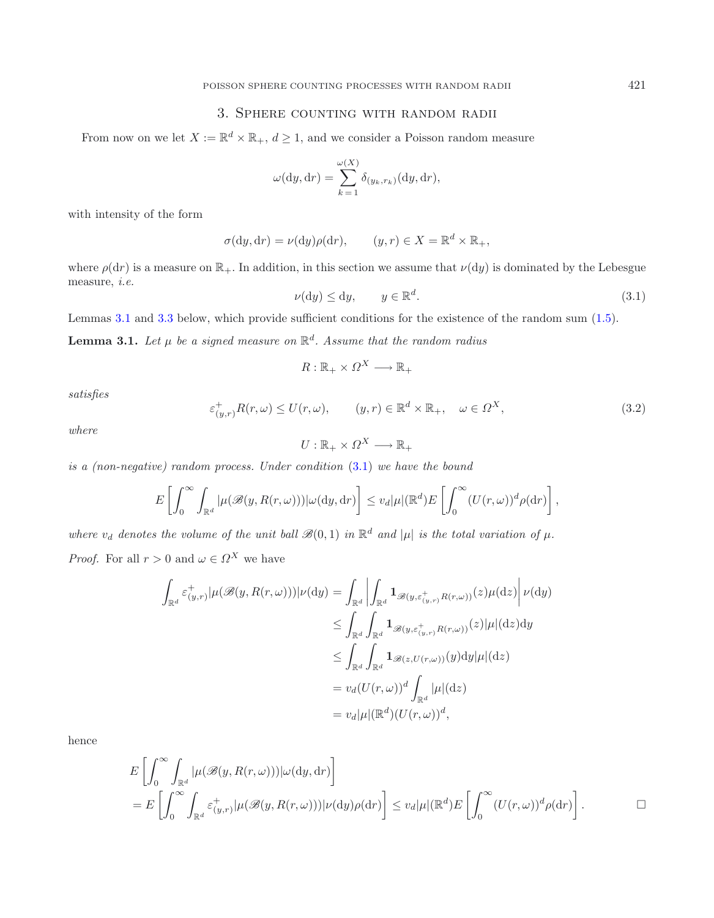## 3. Sphere counting with random radii

<span id="page-4-2"></span><span id="page-4-0"></span>From now on we let  $X := \mathbb{R}^d \times \mathbb{R}_+$ ,  $d \geq 1$ , and we consider a Poisson random measure

<span id="page-4-1"></span>
$$
\omega(\mathrm{d}y, \mathrm{d}r) = \sum_{k=1}^{\omega(X)} \delta_{(y_k, r_k)}(\mathrm{d}y, \mathrm{d}r),
$$

<span id="page-4-3"></span>with intensity of the form

$$
\sigma(\mathrm{d}y, \mathrm{d}r) = \nu(\mathrm{d}y)\rho(\mathrm{d}r), \qquad (y, r) \in X = \mathbb{R}^d \times \mathbb{R}_+,
$$

where  $\rho(dr)$  is a measure on  $\mathbb{R}_+$ . In addition, in this section we assume that  $\nu(dy)$  is dominated by the Lebesgue measure, *i.e.*

$$
\nu(\mathrm{d}y) \le \mathrm{d}y, \qquad y \in \mathbb{R}^d. \tag{3.1}
$$

Lemmas [3.1](#page-4-1) and [3.3](#page-5-0) below, which provide sufficient conditions for the existence of the random sum [\(1.5\)](#page-2-0).

**Lemma 3.1.** *Let*  $\mu$  *be a signed measure on*  $\mathbb{R}^d$ *. Assume that the random radius* 

$$
R: \mathbb{R}_+ \times \Omega^X \longrightarrow \mathbb{R}_+
$$

*satisfies*

$$
\varepsilon^+_{(y,r)} R(r,\omega) \le U(r,\omega), \qquad (y,r) \in \mathbb{R}^d \times \mathbb{R}_+, \quad \omega \in \Omega^X,
$$
\n(3.2)

*where*

$$
U: \mathbb{R}_+ \times \Omega^X \longrightarrow \mathbb{R}_+
$$

*is a (non-negative) random process. Under condition* [\(3.1\)](#page-4-2) *we have the bound*

$$
E\left[\int_0^\infty \int_{\mathbb{R}^d} |\mu(\mathscr{B}(y, R(r,\omega)))|\omega(\mathrm{d}y, \mathrm{d}r)\right] \leq v_d |\mu|(\mathbb{R}^d) E\left[\int_0^\infty (U(r,\omega))^d \rho(\mathrm{d}r)\right],
$$

*where*  $v_d$  *denotes the volume of the unit ball*  $\mathcal{B}(0,1)$  *in*  $\mathbb{R}^d$  *and*  $|\mu|$  *is the total variation of*  $\mu$ *. Proof.* For all  $r > 0$  and  $\omega \in \Omega^X$  we have

$$
\int_{\mathbb{R}^d} \varepsilon_{(y,r)}^+ |\mu(\mathscr{B}(y, R(r,\omega)))| \nu(\mathrm{d}y) = \int_{\mathbb{R}^d} \left| \int_{\mathbb{R}^d} \mathbf{1}_{\mathscr{B}(y, \varepsilon_{(y,r)}^+ R(r,\omega))}(z) \mu(\mathrm{d}z) \right| \nu(\mathrm{d}y)
$$
\n
$$
\leq \int_{\mathbb{R}^d} \int_{\mathbb{R}^d} \mathbf{1}_{\mathscr{B}(y, \varepsilon_{(y,r)}^+ R(r,\omega))}(z) |\mu|(\mathrm{d}z) \mathrm{d}y
$$
\n
$$
\leq \int_{\mathbb{R}^d} \int_{\mathbb{R}^d} \mathbf{1}_{\mathscr{B}(z, U(r,\omega))}(y) \mathrm{d}y |\mu|(\mathrm{d}z)
$$
\n
$$
= v_d(U(r,\omega))^d \int_{\mathbb{R}^d} |\mu|(\mathrm{d}z)
$$
\n
$$
= v_d |\mu|(\mathbb{R}^d) (U(r,\omega))^d,
$$

hence

$$
E\left[\int_0^\infty \int_{\mathbb{R}^d} |\mu(\mathscr{B}(y, R(r,\omega)))|\omega(\mathrm{d}y, \mathrm{d}r)\right]
$$
  
= 
$$
E\left[\int_0^\infty \int_{\mathbb{R}^d} \varepsilon_{(y,r)}^+ |\mu(\mathscr{B}(y, R(r,\omega)))|\nu(\mathrm{d}y)\rho(\mathrm{d}r)\right] \leq v_d |\mu| (\mathbb{R}^d) E\left[\int_0^\infty (U(r,\omega))^d \rho(\mathrm{d}r)\right].
$$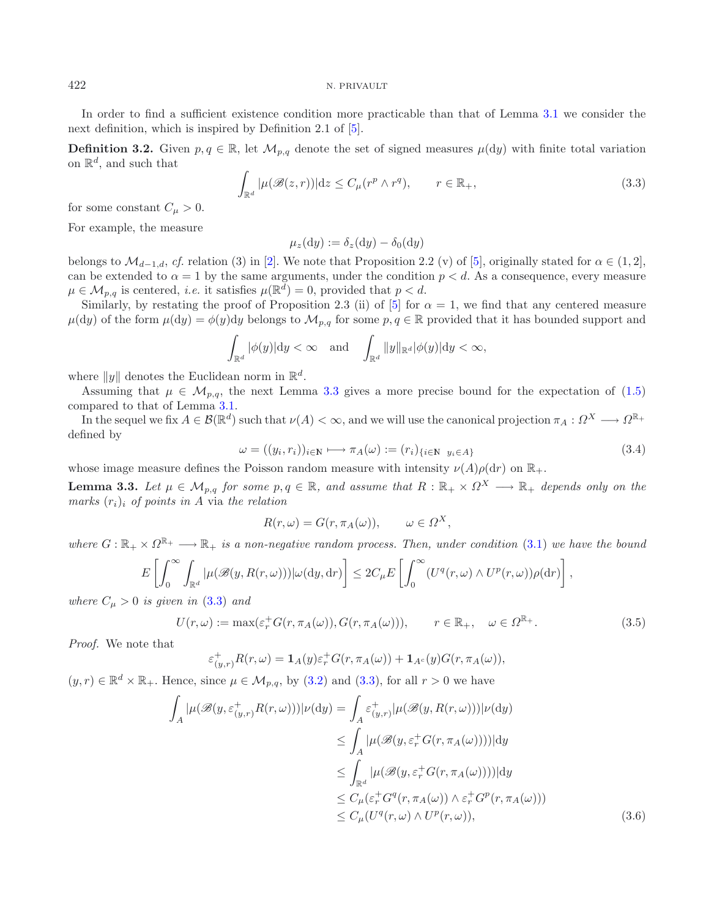In order to find a sufficient existence condition more practicable than that of Lemma [3.1](#page-4-1) we consider the next definition, which is inspired by Definition 2.1 of [\[5\]](#page-14-2).

**Definition 3.2.** Given  $p, q \in \mathbb{R}$ , let  $\mathcal{M}_{p,q}$  denote the set of signed measures  $\mu(dy)$  with finite total variation on  $\mathbb{R}^d$ , and such that

$$
\int_{\mathbb{R}^d} |\mu(\mathcal{B}(z,r))| dz \le C_{\mu}(r^p \wedge r^q), \qquad r \in \mathbb{R}_+, \tag{3.3}
$$

for some constant  $C_{\mu} > 0$ .

For example, the measure

<span id="page-5-0"></span> $\mu_z(\mathrm{d}y) := \delta_z(\mathrm{d}y) - \delta_0(\mathrm{d}y)$ 

<span id="page-5-4"></span>belongs to  $\mathcal{M}_{d-1,d}$ , *cf.* relation (3) in [\[2\]](#page-14-0). We note that Proposition 2.2 (v) of [\[5\]](#page-14-2), originally stated for  $\alpha \in (1,2]$ , can be extended to  $\alpha = 1$  by the same arguments, under the condition  $p < d$ . As a consequence, every measure  $\mu \in \mathcal{M}_{p,q}$  is centered, *i.e.* it satisfies  $\mu(\mathbb{R}^d) = 0$ , provided that  $p < d$ .

Similarly, by restating the proof of Proposition 2.3 (ii) of [\[5\]](#page-14-2) for  $\alpha = 1$ , we find that any centered measure  $\mu(dy)$  of the form  $\mu(dy) = \phi(y)dy$  belongs to  $\mathcal{M}_{p,q}$  for some  $p, q \in \mathbb{R}$  provided that it has bounded support and

$$
\int_{\mathbb{R}^d} |\phi(y)| \mathrm{d}y < \infty \quad \text{and} \quad \int_{\mathbb{R}^d} ||y||_{\mathbb{R}^d} |\phi(y)| \mathrm{d}y < \infty,
$$

where  $||y||$  denotes the Euclidean norm in  $\mathbb{R}^d$ .

Assuming that  $\mu \in \mathcal{M}_{p,q}$ , the next Lemma [3.3](#page-5-0) gives a more precise bound for the expectation of [\(1.5\)](#page-2-0) compared to that of Lemma [3.1.](#page-4-1)

In the sequel we fix  $A \in \mathcal{B}(\mathbb{R}^d)$  such that  $\nu(A) < \infty$ , and we will use the canonical projection  $\pi_A : \Omega^X \longrightarrow \Omega^{\mathbb{R}^+}$ defined by

<span id="page-5-2"></span>
$$
\omega = ((y_i, r_i))_{i \in \mathbb{N}} \longmapsto \pi_A(\omega) := (r_i)_{\{i \in \mathbb{N} \ y_i \in A\}} \tag{3.4}
$$

whose image measure defines the Poisson random measure with intensity  $\nu(A)\rho(dr)$  on  $\mathbb{R}_+$ .

**Lemma 3.3.** Let  $\mu \in \mathcal{M}_{p,q}$  for some  $p, q \in \mathbb{R}$ , and assume that  $R : \mathbb{R}_+ \times \Omega^X \longrightarrow \mathbb{R}_+$  depends only on the  $marks (r_i)_i$  *of points in* A via the relation

$$
R(r,\omega) = G(r, \pi_A(\omega)), \qquad \omega \in \Omega^X,
$$

*where*  $G: \mathbb{R}_+ \times \Omega^{\mathbb{R}_+} \longrightarrow \mathbb{R}_+$  *is a non-negative random process. Then, under condition* [\(3.1\)](#page-4-2) *we have the bound* 

$$
E\left[\int_0^\infty \int_{\mathbb{R}^d} |\mu(\mathscr{B}(y, R(r,\omega)))|\omega(\mathrm{d}y, \mathrm{d}r)\right] \leq 2C_\mu E\left[\int_0^\infty (U^q(r,\omega) \wedge U^p(r,\omega))\rho(\mathrm{d}r)\right],
$$

*where*  $C_{\mu} > 0$  *is given in* [\(3.3\)](#page-5-1) *and* 

$$
U(r,\omega) := \max(\varepsilon_r^+ G(r,\pi_A(\omega)), G(r,\pi_A(\omega))), \qquad r \in \mathbb{R}_+, \quad \omega \in \Omega^{\mathbb{R}_+}.
$$
 (3.5)

*Proof.* We note that

$$
\varepsilon_{(y,r)}^+ R(r,\omega) = \mathbf{1}_A(y) \varepsilon_r^+ G(r, \pi_A(\omega)) + \mathbf{1}_{A^c}(y) G(r, \pi_A(\omega)),
$$

<span id="page-5-3"></span> $(y, r) \in \mathbb{R}^d \times \mathbb{R}_+$ . Hence, since  $\mu \in \mathcal{M}_{p,q}$ , by [\(3.2\)](#page-4-3) and [\(3.3\)](#page-5-1), for all  $r > 0$  we have

$$
\int_{A} |\mu(\mathscr{B}(y,\varepsilon_{(y,r)}^{+}R(r,\omega)))|\nu(\mathrm{d}y) = \int_{A} \varepsilon_{(y,r)}^{+} |\mu(\mathscr{B}(y,R(r,\omega)))|\nu(\mathrm{d}y)
$$
\n
$$
\leq \int_{A} |\mu(\mathscr{B}(y,\varepsilon_{r}^{+}G(r,\pi_{A}(\omega))))|\mathrm{d}y
$$
\n
$$
\leq \int_{\mathbb{R}^{d}} |\mu(\mathscr{B}(y,\varepsilon_{r}^{+}G(r,\pi_{A}(\omega))))|\mathrm{d}y
$$
\n
$$
\leq C_{\mu}(\varepsilon_{r}^{+}G^{q}(r,\pi_{A}(\omega)) \wedge \varepsilon_{r}^{+}G^{p}(r,\pi_{A}(\omega)))
$$
\n
$$
\leq C_{\mu}(U^{q}(r,\omega) \wedge U^{p}(r,\omega)), \tag{3.6}
$$

<span id="page-5-1"></span>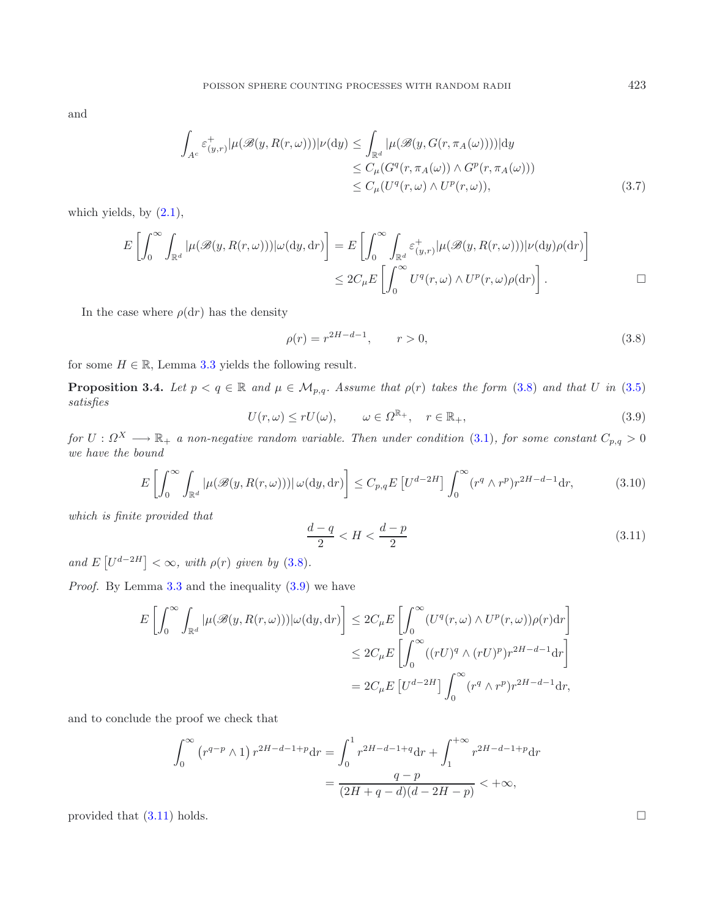<span id="page-6-4"></span>and

<span id="page-6-3"></span><span id="page-6-0"></span>
$$
\int_{A^c} \varepsilon^+_{(y,r)} |\mu(\mathscr{B}(y,R(r,\omega)))| \nu(\mathrm{d}y) \le \int_{\mathbb{R}^d} |\mu(\mathscr{B}(y,G(r,\pi_A(\omega))))| \mathrm{d}y
$$
  
\n
$$
\le C_\mu(G^q(r,\pi_A(\omega)) \wedge G^p(r,\pi_A(\omega)))
$$
  
\n
$$
\le C_\mu(U^q(r,\omega) \wedge U^p(r,\omega)), \tag{3.7}
$$

<span id="page-6-1"></span>which yields, by  $(2.1)$ ,

$$
E\left[\int_0^\infty \int_{\mathbb{R}^d} |\mu(\mathscr{B}(y, R(r, \omega)))| \omega(\mathrm{d}y, \mathrm{d}r) \right] = E\left[\int_0^\infty \int_{\mathbb{R}^d} \varepsilon^+_{(y,r)} |\mu(\mathscr{B}(y, R(r, \omega)))| \nu(\mathrm{d}y)\rho(\mathrm{d}r) \right]
$$
  

$$
\leq 2C_\mu E\left[\int_0^\infty U^q(r, \omega) \wedge U^p(r, \omega)\rho(\mathrm{d}r) \right].
$$

<span id="page-6-5"></span><span id="page-6-2"></span>In the case where  $\rho(\mathrm{d}r)$  has the density

$$
\rho(r) = r^{2H - d - 1}, \qquad r > 0,
$$
\n(3.8)

for some  $H \in \mathbb{R}$ , Lemma [3.3](#page-5-0) yields the following result.

**Proposition 3.4.** *Let*  $p < q \in \mathbb{R}$  *and*  $\mu \in M_{p,q}$ *. Assume that*  $\rho(r)$  *takes the form* [\(3.8\)](#page-6-0) *and that* U *in* [\(3.5\)](#page-5-2) *satisfies*

$$
U(r,\omega) \le rU(\omega), \qquad \omega \in \Omega^{\mathbb{R}_+}, \quad r \in \mathbb{R}_+, \tag{3.9}
$$

*for*  $U: \Omega^X \longrightarrow \mathbb{R}_+$  *a non-negative random variable. Then under condition* [\(3.1\)](#page-4-2)*, for some constant*  $C_{p,q} > 0$ *we have the bound*

$$
E\left[\int_0^\infty \int_{\mathbb{R}^d} |\mu(\mathscr{B}(y, R(r, \omega)))| \,\omega(dy, dr)\right] \le C_{p,q} E\left[U^{d-2H}\right] \int_0^\infty (r^q \wedge r^p) r^{2H-d-1} dr,\tag{3.10}
$$

*which is finite provided that*

$$
\frac{d-q}{2} < H < \frac{d-p}{2} \tag{3.11}
$$

*and*  $E[U^{d-2H}] < \infty$ *, with*  $\rho(r)$  *given by* [\(3.8\)](#page-6-0)*.* 

*Proof.* By Lemma [3.3](#page-5-0) and the inequality  $(3.9)$  we have

$$
E\left[\int_0^\infty \int_{\mathbb{R}^d} |\mu(\mathscr{B}(y, R(r, \omega)))| \omega(\mathrm{d}y, \mathrm{d}r) \right] \leq 2C_\mu E\left[\int_0^\infty (U^q(r, \omega) \wedge U^p(r, \omega)) \rho(r) \mathrm{d}r \right]
$$
  

$$
\leq 2C_\mu E\left[\int_0^\infty ((rU)^q \wedge (rU)^p) r^{2H-d-1} \mathrm{d}r \right]
$$
  

$$
= 2C_\mu E\left[U^{d-2H}\right] \int_0^\infty (r^q \wedge r^p) r^{2H-d-1} \mathrm{d}r,
$$

and to conclude the proof we check that

$$
\int_0^\infty \left( r^{q-p} \wedge 1 \right) r^{2H-d-1+p} dr = \int_0^1 r^{2H-d-1+q} dr + \int_1^{+\infty} r^{2H-d-1+p} dr
$$

$$
= \frac{q-p}{(2H+q-d)(d-2H-p)} < +\infty,
$$

provided that  $(3.11)$  holds.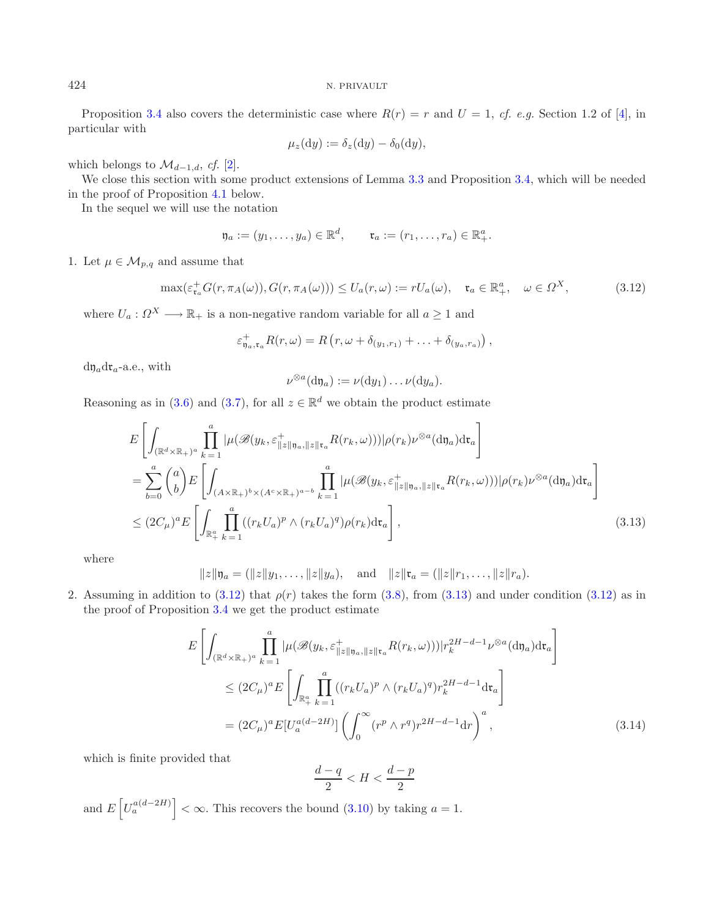Proposition [3.4](#page-6-3) also covers the deterministic case where  $R(r) = r$  and  $U = 1$ , *cf. e.g.* Section 1.2 of [\[4\]](#page-14-10), in particular with

$$
\mu_z(\mathrm{d}y) := \delta_z(\mathrm{d}y) - \delta_0(\mathrm{d}y),
$$

which belongs to  $\mathcal{M}_{d-1,d}$ , *cf.* [\[2](#page-14-0)].

We close this section with some product extensions of Lemma [3.3](#page-5-0) and Proposition [3.4,](#page-6-3) which will be needed in the proof of Proposition [4.1](#page-8-0) below.

In the sequel we will use the notation

$$
\mathfrak{y}_a := (y_1, \ldots, y_a) \in \mathbb{R}^d, \qquad \mathfrak{r}_a := (r_1, \ldots, r_a) \in \mathbb{R}^a_+.
$$

1. Let  $\mu \in \mathcal{M}_{p,q}$  and assume that

$$
\max(\varepsilon_{\mathfrak{r}_a}^+ G(r, \pi_A(\omega)), G(r, \pi_A(\omega))) \le U_a(r, \omega) := r U_a(\omega), \quad \mathfrak{r}_a \in \mathbb{R}_+^a, \quad \omega \in \Omega^X,
$$
\n(3.12)

where  $U_a: \Omega^X \longrightarrow \mathbb{R}_+$  is a non-negative random variable for all  $a \geq 1$  and

$$
\varepsilon_{\mathfrak{y}_a,\mathfrak{r}_a}^+ R(r,\omega) = R\left(r, \omega + \delta_{(y_1,r_1)} + \ldots + \delta_{(y_a,r_a)}\right),
$$

 $d\eta_a d\mathfrak{r}_a$ -a.e., with

<span id="page-7-1"></span>
$$
\nu^{\otimes a}(\mathrm{d}\mathfrak{y}_a):=\nu(\mathrm{d}y_1)\ldots\nu(\mathrm{d}y_a).
$$

Reasoning as in [\(3.6\)](#page-5-3) and [\(3.7\)](#page-6-4), for all  $z \in \mathbb{R}^d$  we obtain the product estimate

$$
E\left[\int_{(\mathbb{R}^d \times \mathbb{R}_+)^a} \prod_{k=1}^a |\mu(\mathscr{B}(y_k, \varepsilon_{\|z\|y_a, \|z\|r_a}^+ R(r_k, \omega)))|\rho(r_k)\nu^{\otimes a}(\mathrm{d}y_a)\mathrm{d}\mathfrak{r}_a\right]
$$
  
\n
$$
= \sum_{b=0}^a \binom{a}{b} E\left[\int_{(A \times \mathbb{R}_+)^b \times (A^c \times \mathbb{R}_+)^{a-b}} \prod_{k=1}^a |\mu(\mathscr{B}(y_k, \varepsilon_{\|z\|y_a, \|z\|r_a}^+ R(r_k, \omega)))|\rho(r_k)\nu^{\otimes a}(\mathrm{d}y_a)\mathrm{d}\mathfrak{r}_a\right]
$$
  
\n
$$
\leq (2C_\mu)^a E\left[\int_{\mathbb{R}_+^a} \prod_{k=1}^a ((r_kU_a)^p \wedge (r_kU_a)^q)\rho(r_k)\mathrm{d}\mathfrak{r}_a\right],
$$
\n(3.13)

where

$$
||z||\mathfrak{y}_a = (||z||y_1, \ldots, ||z||y_a),
$$
 and  $||z||\mathfrak{r}_a = (||z||r_1, \ldots, ||z||r_a).$ 

2. Assuming in addition to [\(3.12\)](#page-7-0) that  $\rho(r)$  takes the form [\(3.8\)](#page-6-0), from [\(3.13\)](#page-7-1) and under condition (3.12) as in the proof of Proposition [3.4](#page-6-3) we get the product estimate

<span id="page-7-2"></span>
$$
E\left[\int_{(\mathbb{R}^d \times \mathbb{R}_+)^a} \prod_{k=1}^a |\mu(\mathscr{B}(y_k, \varepsilon_{\|z\|y_a, \|z\|t_a}^+ R(r_k, \omega)))|r_k^{2H-d-1} \nu^{\otimes a}(\mathrm{d}y_a) \mathrm{d}t_a\right]
$$
  
\n
$$
\leq (2C_\mu)^a E\left[\int_{\mathbb{R}_+^a} \prod_{k=1}^a ((r_k U_a)^p \wedge (r_k U_a)^q) r_k^{2H-d-1} \mathrm{d}t_a\right]
$$
  
\n
$$
= (2C_\mu)^a E[U_a^{a(d-2H)}] \left(\int_0^\infty (r^p \wedge r^q) r^{2H-d-1} \mathrm{d}r\right)^a,
$$
\n(3.14)

which is finite provided that

$$
\frac{d-q}{2} < H < \frac{d-p}{2}
$$

and  $E\left[U_a^{a(d-2H)}\right]<\infty$ . This recovers the bound [\(3.10\)](#page-6-5) by taking  $a=1$ .

<span id="page-7-0"></span>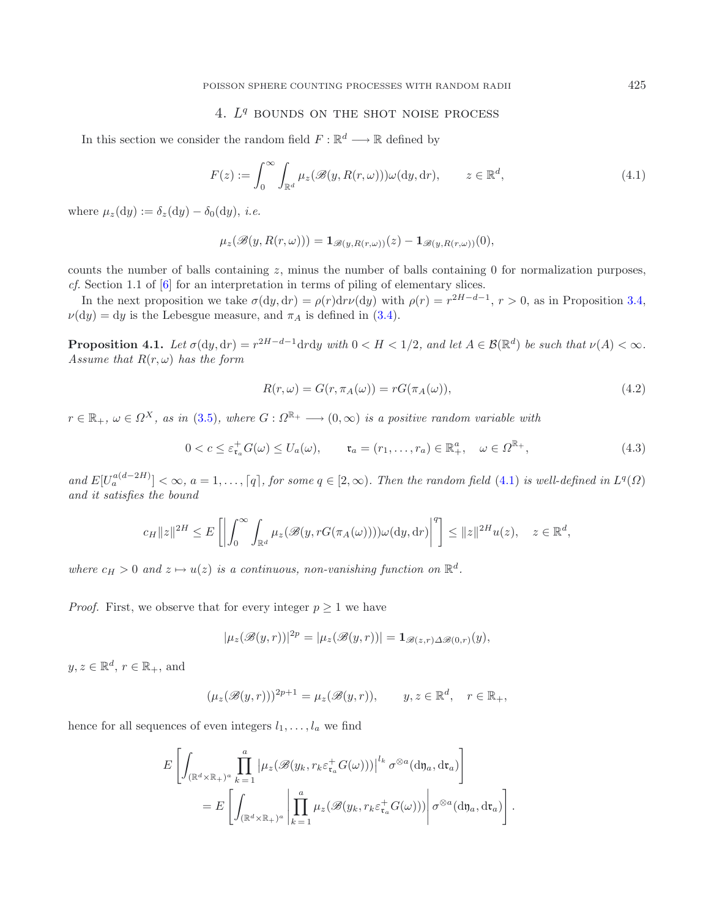# <span id="page-8-3"></span><span id="page-8-0"></span>4. *L<sup>q</sup>* bounds on the shot noise process

<span id="page-8-2"></span>In this section we consider the random field  $F : \mathbb{R}^d \longrightarrow \mathbb{R}$  defined by

<span id="page-8-4"></span>
$$
F(z) := \int_0^\infty \int_{\mathbb{R}^d} \mu_z(\mathscr{B}(y, R(r, \omega))) \omega(\mathrm{d}y, \mathrm{d}r), \qquad z \in \mathbb{R}^d,
$$
\n(4.1)

where  $\mu_z(dy) := \delta_z(dy) - \delta_0(dy)$ , *i.e.* 

$$
\mu_z(\mathscr{B}(y,R(r,\omega))) = \mathbf{1}_{\mathscr{B}(y,R(r,\omega))}(z) - \mathbf{1}_{\mathscr{B}(y,R(r,\omega))}(0),
$$

counts the number of balls containing  $z$ , minus the number of balls containing 0 for normalization purposes, *cf.* Section 1.1 of [\[6\]](#page-14-11) for an interpretation in terms of piling of elementary slices.

In the next proposition we take  $\sigma(dy, dr) = \rho(r) dr \nu(dy)$  with  $\rho(r) = r^{2H-d-1}$ ,  $r > 0$ , as in Proposition [3.4,](#page-6-3)  $\nu(dy) = dy$  is the Lebesgue measure, and  $\pi_A$  is defined in [\(3.4\)](#page-5-4).

**Proposition 4.1.** *Let*  $\sigma(\mathrm{d}y, \mathrm{d}r) = r^{2H-d-1}\mathrm{d}r\mathrm{d}y$  *with*  $0 < H < 1/2$ *, and let*  $A \in \mathcal{B}(\mathbb{R}^d)$  *be such that*  $\nu(A) < \infty$ *. Assume that*  $R(r, \omega)$  *has the form* 

$$
R(r,\omega) = G(r,\pi_A(\omega)) = rG(\pi_A(\omega)),\tag{4.2}
$$

.

 $r \in \mathbb{R}_+$ ,  $\omega \in \Omega^X$ , as in [\(3.5\)](#page-5-2), where  $G : \Omega^{\mathbb{R}_+} \longrightarrow (0, \infty)$  is a positive random variable with

$$
0 < c \leq \varepsilon_{\mathfrak{r}_a}^+ G(\omega) \leq U_a(\omega), \qquad \mathfrak{r}_a = (r_1, \dots, r_a) \in \mathbb{R}_+^a, \quad \omega \in \Omega^{\mathbb{R}_+}, \tag{4.3}
$$

*and*  $E[U_a^{a(d-2H)}] < \infty$ ,  $a = 1, \ldots, [q]$ , for some  $q \in [2, \infty)$ . Then the random field [\(4.1\)](#page-8-3) is well-defined in  $L^q(\Omega)$ *and it satisfies the bound*

$$
c_H ||z||^{2H} \le E\left[\left|\int_0^\infty \int_{\mathbb{R}^d} \mu_z(\mathscr{B}(y, rG(\pi_A(\omega))))\omega(\mathrm{d}y, \mathrm{d}r)\right|^q\right] \le ||z||^{2H} u(z), \quad z \in \mathbb{R}^d,
$$

where  $c_H > 0$  and  $z \mapsto u(z)$  is a continuous, non-vanishing function on  $\mathbb{R}^d$ .

*Proof.* First, we observe that for every integer  $p \geq 1$  we have

$$
|\mu_z(\mathscr{B}(y,r))|^{2p} = |\mu_z(\mathscr{B}(y,r))| = \mathbf{1}_{\mathscr{B}(z,r)\Delta\mathscr{B}(0,r)}(y),
$$

 $y, z \in \mathbb{R}^d, r \in \mathbb{R}_+$ , and

$$
(\mu_z(\mathcal{B}(y,r)))^{2p+1} = \mu_z(\mathcal{B}(y,r)), \qquad y, z \in \mathbb{R}^d, \quad r \in \mathbb{R}_+,
$$

hence for all sequences of even integers  $l_1, \ldots, l_a$  we find

$$
E\left[\int_{(\mathbb{R}^d \times \mathbb{R}_+)^a} \prod_{k=1}^a \left| \mu_z(\mathscr{B}(y_k, r_k \varepsilon_{\mathfrak{r}_a}^+ G(\omega))) \right|^{l_k} \sigma^{\otimes a}(\mathrm{d}\mathfrak{y}_a, \mathrm{d}\mathfrak{r}_a) \right]
$$
  
= 
$$
E\left[\int_{(\mathbb{R}^d \times \mathbb{R}_+)^a} \left| \prod_{k=1}^a \mu_z(\mathscr{B}(y_k, r_k \varepsilon_{\mathfrak{r}_a}^+ G(\omega))) \right| \sigma^{\otimes a}(\mathrm{d}\mathfrak{y}_a, \mathrm{d}\mathfrak{r}_a) \right]
$$

<span id="page-8-1"></span>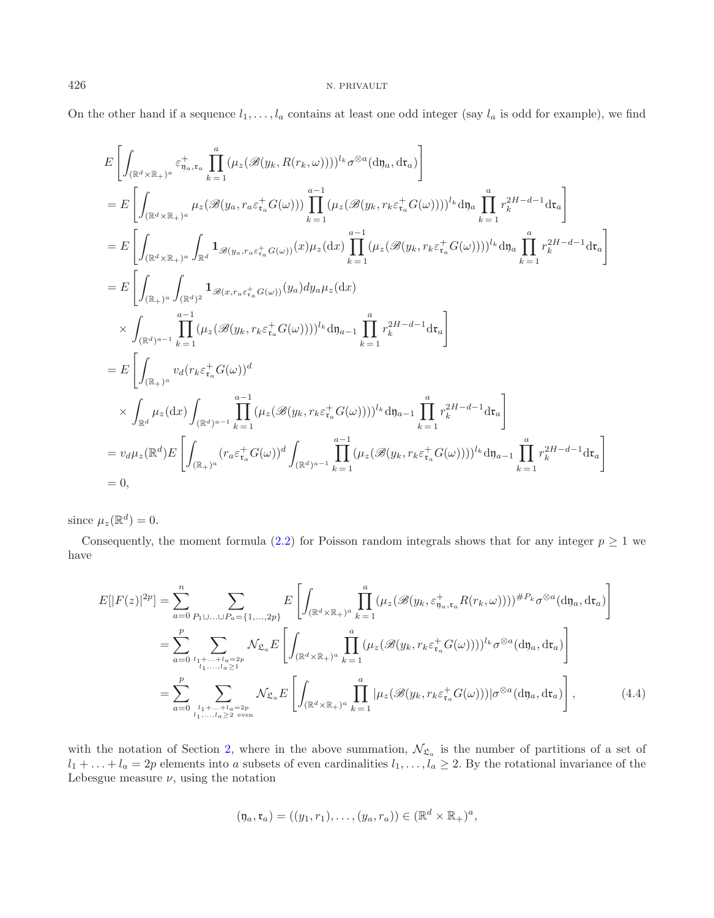On the other hand if a sequence  $l_1,\ldots,l_a$  contains at least one odd integer (say  $l_a$  is odd for example), we find

$$
E\left[\int_{(\mathbb{R}^d\times\mathbb{R}_+)^a} \varepsilon_{\eta_a,\mathbf{t}_a}^+ \prod_{k=1}^a (\mu_z(\mathscr{B}(y_k,R(r_k,\omega))))^{l_k}\sigma^{\otimes a}(\mathrm{d}\mathfrak{y}_a,\mathrm{d}\mathbf{t}_a)\right]
$$
  
\n
$$
= E\left[\int_{(\mathbb{R}^d\times\mathbb{R}_+)^a} \mu_z(\mathscr{B}(y_a,r_a\varepsilon_{\tau_a}^+G(\omega))) \prod_{k=1}^{a-1} (\mu_z(\mathscr{B}(y_k,r_k\varepsilon_{\tau_a}^+G(\omega))))^{l_k}\mathrm{d}\mathfrak{y}_a \prod_{k=1}^a r_k^{2H-d-1}\mathrm{d}\mathfrak{t}_a\right]
$$
  
\n
$$
= E\left[\int_{(\mathbb{R}^d\times\mathbb{R}_+)^a} \int_{\mathbb{R}^d} \mathbf{1}_{\mathscr{B}(y_a,r_a\varepsilon_{\tau_a}^+G(\omega))}(x)\mu_z(\mathrm{d}x) \prod_{k=1}^{a-1} (\mu_z(\mathscr{B}(y_k,r_k\varepsilon_{\tau_a}^+G(\omega))))^{l_k}\mathrm{d}\mathfrak{y}_a \prod_{k=1}^a r_k^{2H-d-1}\mathrm{d}\mathfrak{r}_a\right]
$$
  
\n
$$
= E\left[\int_{(\mathbb{R}_+)^a} \int_{(\mathbb{R}^d)^2} \mathbf{1}_{\mathscr{B}(x,r_a\varepsilon_{\tau_a}^+G(\omega))}(y_a)dy_a\mu_z(\mathrm{d}x)\right]
$$
  
\n
$$
\times \int_{(\mathbb{R}^d)^{a-1}} \prod_{k=1}^{a-1} (\mu_z(\mathscr{B}(y_k,r_k\varepsilon_{\tau_a}^+G(\omega))))^{l_k}\mathrm{d}\mathfrak{y}_{a-1} \prod_{k=1}^a r_k^{2H-d-1}\mathrm{d}\mathfrak{r}_a\right]
$$
  
\n
$$
= E\left[\int_{(\mathbb{R}_+)^a} \nu_d(r_k\varepsilon_{\tau_a}^+G(\omega))^d
$$
  
\n
$$
\times \int_{\mathbb{R}^d} \mu_z(\mathrm{d}x) \int_{(\mathbb{R}^d)^{a-1}} \prod_{k=1}^{a-1} (\mu_z(\
$$

since  $\mu_z(\mathbb{R}^d) = 0$ .

<span id="page-9-0"></span>Consequently, the moment formula [\(2.2\)](#page-3-0) for Poisson random integrals shows that for any integer  $p \geq 1$  we have

$$
E[|F(z)|^{2p}] = \sum_{a=0}^{n} \sum_{P_1 \cup \ldots \cup P_a = \{1,\ldots,2p\}} E\left[\int_{(\mathbb{R}^d \times \mathbb{R}_+)^a} \prod_{k=1}^a (\mu_z(\mathscr{B}(y_k, \varepsilon_{y_a, \tau_a}^+ R(r_k, \omega))))^{4P_k} \sigma^{\otimes a}(\mathrm{d}y_a, \mathrm{d}\tau_a)\right]
$$
  
\n
$$
= \sum_{a=0}^{p} \sum_{\substack{l_1 + \ldots + l_a = 2p \\ l_1, \ldots, l_a \ge 1}} \mathcal{N}_{\mathfrak{L}_a} E\left[\int_{(\mathbb{R}^d \times \mathbb{R}_+)^a} \prod_{k=1}^a (\mu_z(\mathscr{B}(y_k, r_k \varepsilon_{\tau_a}^+ G(\omega))))^{l_k} \sigma^{\otimes a}(\mathrm{d}y_a, \mathrm{d}\tau_a)\right]
$$
  
\n
$$
= \sum_{a=0}^{p} \sum_{\substack{l_1 + \ldots + l_a = 2p \\ l_1, \ldots, l_a \ge 2 \text{ even}}} \mathcal{N}_{\mathfrak{L}_a} E\left[\int_{(\mathbb{R}^d \times \mathbb{R}_+)^a} \prod_{k=1}^a |\mu_z(\mathscr{B}(y_k, r_k \varepsilon_{\tau_a}^+ G(\omega)))| \sigma^{\otimes a}(\mathrm{d}y_a, \mathrm{d}\tau_a)\right], \tag{4.4}
$$

with the notation of Section [2,](#page-2-1) where in the above summation,  $\mathcal{N}_{\mathfrak{L}_a}$  is the number of partitions of a set of  $l_1 + \ldots + l_a = 2p$  elements into a subsets of even cardinalities  $l_1, \ldots, l_a \geq 2$ . By the rotational invariance of the Lebesgue measure  $\nu$ , using the notation

$$
(\mathfrak{y}_a, \mathfrak{r}_a) = ((y_1, r_1), \dots, (y_a, r_a)) \in (\mathbb{R}^d \times \mathbb{R}_+)^a,
$$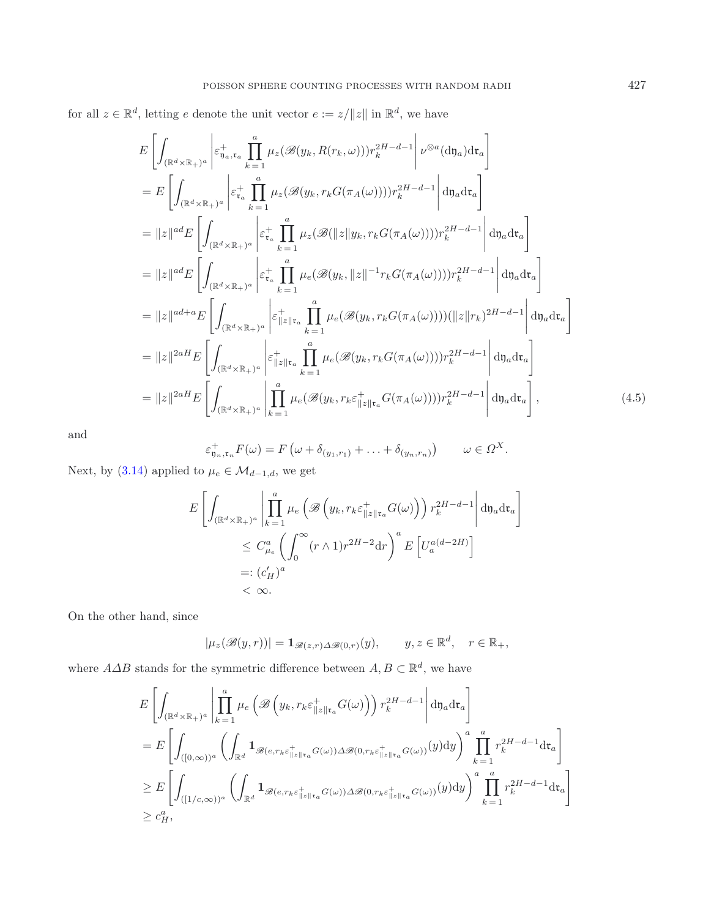<span id="page-10-0"></span>for all  $z \in \mathbb{R}^d$ , letting e denote the unit vector  $e := z / ||z||$  in  $\mathbb{R}^d$ , we have

$$
E\left[\int_{(\mathbb{R}^d \times \mathbb{R}_+)^a} \left| \varepsilon_{\mathfrak{y}_{a},\mathfrak{r}_{a}}^+ \prod_{k=1}^a \mu_z(\mathscr{B}(y_k, R(r_k, \omega))) r_k^{2H-d-1} \right| \nu^{\otimes a}(\mathrm{d}\mathfrak{y}_a) \mathrm{d}\mathfrak{r}_a \right]
$$
  
\n
$$
= E\left[\int_{(\mathbb{R}^d \times \mathbb{R}_+)^a} \left| \varepsilon_{\mathfrak{r}_a}^+ \prod_{k=1}^a \mu_z(\mathscr{B}(y_k, r_k G(\pi_A(\omega)))) r_k^{2H-d-1} \right| \mathrm{d}\mathfrak{y}_a \mathrm{d}\mathfrak{r}_a \right]
$$
  
\n
$$
= \|z\|^{ad} E\left[\int_{(\mathbb{R}^d \times \mathbb{R}_+)^a} \left| \varepsilon_{\mathfrak{r}_a}^+ \prod_{k=1}^a \mu_z(\mathscr{B}(|z||y_k, r_k G(\pi_A(\omega)))) r_k^{2H-d-1} \right| \mathrm{d}\mathfrak{y}_a \mathrm{d}\mathfrak{r}_a \right]
$$
  
\n
$$
= \|z\|^{ad} E\left[\int_{(\mathbb{R}^d \times \mathbb{R}_+)^a} \left| \varepsilon_{\mathfrak{r}_a}^+ \prod_{k=1}^a \mu_e(\mathscr{B}(y_k, ||z||^{-1} r_k G(\pi_A(\omega)))) r_k^{2H-d-1} \right| \mathrm{d}\mathfrak{y}_a \mathrm{d}\mathfrak{r}_a \right]
$$
  
\n
$$
= \|z\|^{ad+a} E\left[\int_{(\mathbb{R}^d \times \mathbb{R}_+)^a} \left| \varepsilon_{\mathfrak{y}_{a}}^+ \prod_{k=1}^a \mu_e(\mathscr{B}(y_k, r_k G(\pi_A(\omega)))) (\|z\| r_k)^{2H-d-1} \right| \mathrm{d}\mathfrak{y}_a \mathrm{d}\mathfrak{r}_a \right]
$$
  
\n
$$
= \|z\|^{2aH} E\left[\int_{(\mathbb{R}^d \times \mathbb{R}_+)^a} \left| \varepsilon_{\mathfrak{y}_{a}}^+ \prod_{k=1}^a \mu_e(\mathscr{B}(y_k, r
$$

and

$$
\varepsilon_{\mathfrak{y}_n,\mathfrak{r}_n}^+F(\omega)=F\left(\omega+\delta_{(y_1,r_1)}+\ldots+\delta_{(y_n,r_n)}\right)\qquad\omega\in\Omega^X.
$$

Next, by [\(3.14\)](#page-7-2) applied to  $\mu_e \in \mathcal{M}_{d-1,d}$ , we get

$$
E\left[\int_{(\mathbb{R}^d \times \mathbb{R}_+)^a} \left| \prod_{k=1}^a \mu_e\left(\mathscr{B}\left(y_k, r_k \varepsilon_{\|z\|_{\mathsf{Tr}_a}}^+ G(\omega)\right)\right) r_k^{2H-d-1} \right| d\mathfrak{y}_a d\mathfrak{r}_a\right]
$$
  

$$
\leq C_{\mu_e}^a \left(\int_0^\infty (r \wedge 1) r^{2H-2} dr\right)^a E\left[U_a^{a(d-2H)}\right]
$$
  

$$
=: (c_H')^a
$$
  

$$
< \infty.
$$

On the other hand, since

$$
|\mu_z(\mathscr{B}(y,r))| = \mathbf{1}_{\mathscr{B}(z,r)\Delta\mathscr{B}(0,r)}(y), \qquad y, z \in \mathbb{R}^d, \quad r \in \mathbb{R}_+,
$$

where  $A\Delta B$  stands for the symmetric difference between  $A, B\subset \mathbb{R}^d$ , we have

$$
E\left[\int_{(\mathbb{R}^d \times \mathbb{R}_+)^a} \left| \prod_{k=1}^a \mu_e\left(\mathscr{B}\left(y_k, r_k \varepsilon_{\|z\| \mathfrak{r}_a}^+ G(\omega)\right)\right) r_k^{2H-d-1} \right| d\mathfrak{y}_a d\mathfrak{r}_a\right]
$$
  
\n
$$
= E\left[\int_{([0,\infty))^a} \left(\int_{\mathbb{R}^d} \mathbf{1}_{\mathscr{B}(e,r_k \varepsilon_{\|z\| \mathfrak{r}_a}^+ G(\omega)) \Delta \mathscr{B}(0,r_k \varepsilon_{\|z\| \mathfrak{r}_a}^+ G(\omega))} (y) dy\right)^a \prod_{k=1}^a r_k^{2H-d-1} d\mathfrak{r}_a\right]
$$
  
\n
$$
\geq E\left[\int_{([1/c,\infty))^a} \left(\int_{\mathbb{R}^d} \mathbf{1}_{\mathscr{B}(e,r_k \varepsilon_{\|z\| \mathfrak{r}_a}^+ G(\omega)) \Delta \mathscr{B}(0,r_k \varepsilon_{\|z\| \mathfrak{r}_a}^+ G(\omega))} (y) dy\right)^a \prod_{k=1}^a r_k^{2H-d-1} d\mathfrak{r}_a\right]
$$
  
\n
$$
\geq c_H^a,
$$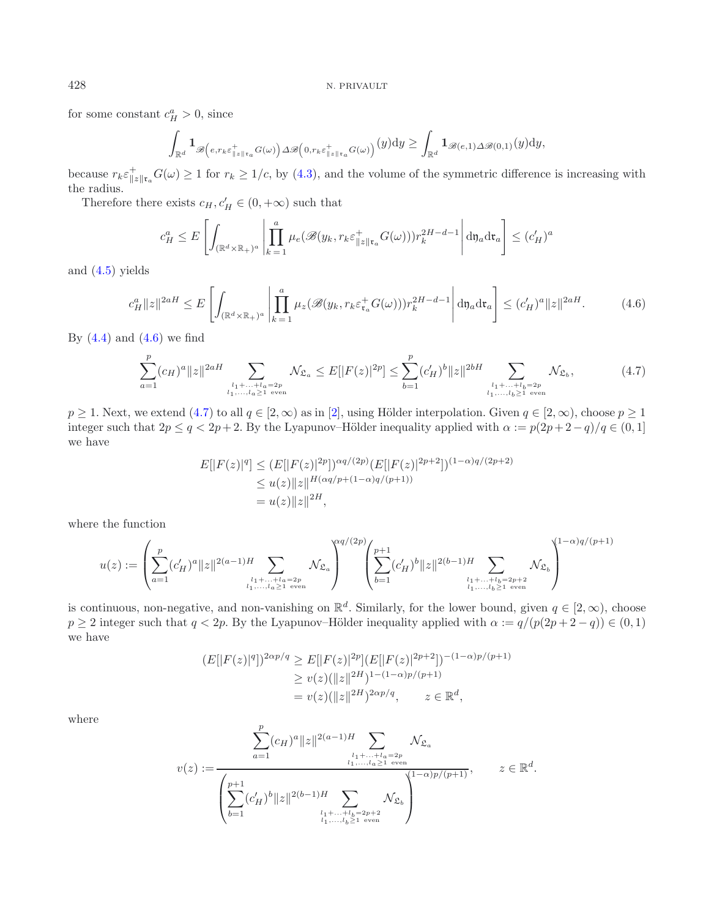for some constant  $c_H^a > 0$ , since

<span id="page-11-1"></span>
$$
\int_{\mathbb{R}^d} \mathbf{1}_{\mathscr{B}\left(e,r_k\varepsilon_{\|z\|_{\mathfrak{r}_a}}^+G(\omega)\right)\Delta\mathscr{B}\left(0,r_k\varepsilon_{\|z\|_{\mathfrak{r}_a}}^+G(\omega)\right)}(y)dy \ge \int_{\mathbb{R}^d} \mathbf{1}_{\mathscr{B}(e,1)\Delta\mathscr{B}(0,1)}(y)dy,
$$

because  $r_k \varepsilon_{\|z\|_{\mathfrak{r}_a}}^+ G(\omega) \geq 1$  for  $r_k \geq 1/c$ , by [\(4.3\)](#page-8-1), and the volume of the symmetric difference is increasing with the radius.

Therefore there exists  $c_H, c'_H \in (0, +\infty)$  such that

$$
c_H^a \le E\left[\int_{(\mathbb{R}^d \times \mathbb{R}_+)^a} \left| \prod_{k=1}^a \mu_e(\mathscr{B}(y_k, r_k \varepsilon_{\|z\| \mathfrak{r}_a}^+ G(\omega))) r_k^{2H-d-1} \right| d\mathfrak{y}_a d\mathfrak{r}_a \right] \le (c_H')^a
$$

and [\(4.5\)](#page-10-0) yields

$$
c_H^a ||z||^{2aH} \le E \left[ \int_{(\mathbb{R}^d \times \mathbb{R}_+)^a} \left| \prod_{k=1}^a \mu_z(\mathscr{B}(y_k, r_k \varepsilon_{\mathfrak{r}_a}^+ G(\omega))) r_k^{2H-d-1} \right| d\mathfrak{y}_a d\mathfrak{r}_a \right] \le (c_H')^a ||z||^{2aH}.
$$
 (4.6)

By  $(4.4)$  and  $(4.6)$  we find

$$
\sum_{a=1}^{p} (c_H)^a ||z||^{2aH} \sum_{\substack{l_1 + \dots + l_a = 2p \\ l_1, \dots, l_a \ge 1 \text{ even}}} \mathcal{N}_{\mathfrak{L}_a} \le E[|F(z)|^{2p}] \le \sum_{b=1}^{p} (c'_H)^b ||z||^{2bH} \sum_{\substack{l_1 + \dots + l_b = 2p \\ l_1, \dots, l_b \ge 1 \text{ even}}} \mathcal{N}_{\mathfrak{L}_b},\tag{4.7}
$$

 $p \ge 1$ . Next, we extend [\(4.7\)](#page-11-1) to all  $q \in [2, \infty)$  $q \in [2, \infty)$  $q \in [2, \infty)$  as in [2], using Hölder interpolation. Given  $q \in [2, \infty)$ , choose  $p \ge 1$ integer such that  $2p \le q < 2p+2$ . By the Lyapunov–Hölder inequality applied with  $\alpha := p(2p+2-q)/q \in (0,1]$ we have

$$
E[|F(z)|^q] \le (E[|F(z)|^{2p}])^{\alpha q/(2p)} (E[|F(z)|^{2p+2}])^{(1-\alpha)q/(2p+2)}
$$
  
\n
$$
\le u(z) \|z\|^{H(\alpha q/p+(1-\alpha)q/(p+1))}
$$
  
\n
$$
= u(z) \|z\|^{2H},
$$

where the function

u(z) := ⎛ ⎜⎝ p a=1 (c <sup>H</sup>) <sup>a</sup> z 2(a−1)<sup>H</sup> *<sup>l</sup>*1+*...*+*la*=2*<sup>p</sup> <sup>l</sup>*1*,...,la*≥1 even N<sup>L</sup>*<sup>a</sup>* ⎞ ⎟⎠ αq/(2p) ⎛ ⎜⎝ p +1 b=1 (c <sup>H</sup>) b z 2(b−1)<sup>H</sup> *<sup>l</sup>*1+*...*+*lb*=2*p*+2 *<sup>l</sup>*1*,...,lb*≥1 even N<sup>L</sup>*<sup>b</sup>* ⎞ ⎟⎠ (1−α)q/(p+1)

is continuous, non-negative, and non-vanishing on  $\mathbb{R}^d$ . Similarly, for the lower bound, given  $q \in [2, \infty)$ , choose  $p \geq 2$  integer such that  $q < 2p$ . By the Lyapunov–Hölder inequality applied with  $\alpha := q/(p(2p + 2 - q)) \in (0, 1)$ we have

$$
(E[|F(z)|^q])^{2\alpha p/q} \ge E[|F(z)|^{2p}](E[|F(z)|^{2p+2}])^{-(1-\alpha)p/(p+1)}
$$
  
\n
$$
\ge v(z)(\|z\|^{2H})^{1-(1-\alpha)p/(p+1)}
$$
  
\n
$$
= v(z)(\|z\|^{2H})^{2\alpha p/q}, \qquad z \in \mathbb{R}^d,
$$

where

$$
v(z) := \frac{\displaystyle\sum_{a=1}^{p} (c_H)^a \|z\|^{2(a-1)H} \sum_{\substack{l_1 + \ldots + l_a = 2p \\ l_1, \ldots, l_a \geq 1 \text{ even}}} \mathcal{N}_{\mathfrak{L}_a}
$$
  

$$
v(z) := \frac{\left(\displaystyle\sum_{b=1}^{p+1} (c_H')^b \|z\|^{2(b-1)H} \sum_{\substack{l_1 + \ldots + l_b = 2p+2 \\ l_1, \ldots, l_b \geq 1 \text{ even}}} \mathcal{N}_{\mathfrak{L}_b}\right)^{\left(1-\alpha\right)p/(p+1)}, \qquad z \in \mathbb{R}^d.
$$

<span id="page-11-0"></span>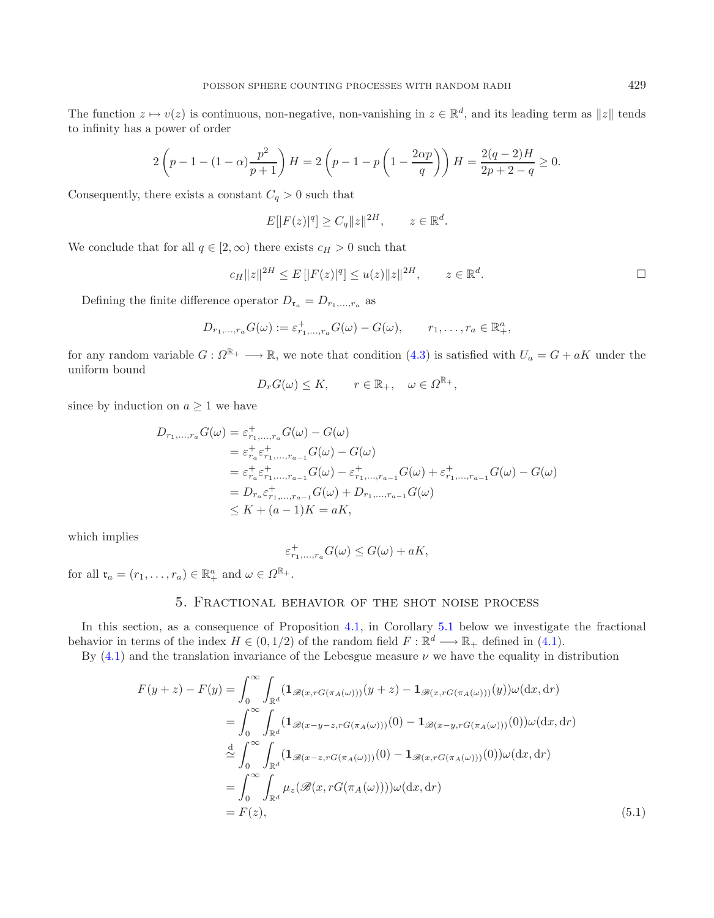The function  $z \mapsto v(z)$  is continuous, non-negative, non-vanishing in  $z \in \mathbb{R}^d$ , and its leading term as  $||z||$  tends to infinity has a power of order

$$
2\left(p - 1 - (1 - \alpha)\frac{p^2}{p + 1}\right)H = 2\left(p - 1 - p\left(1 - \frac{2\alpha p}{q}\right)\right)H = \frac{2(q - 2)H}{2p + 2 - q} \ge 0.
$$

Consequently, there exists a constant  $C_q > 0$  such that

$$
E[|F(z)|^q] \ge C_q ||z||^{2H}, \qquad z \in \mathbb{R}^d.
$$

We conclude that for all  $q \in [2,\infty)$  there exists  $c_H > 0$  such that

$$
c_H ||z||^{2H} \le E[|F(z)|^q] \le u(z) ||z||^{2H}, \qquad z \in \mathbb{R}^d.
$$

Defining the finite difference operator  $D_{\mathfrak{r}_a} = D_{r_1,\dots,r_a}$  as

$$
D_{r_1,\ldots,r_a}G(\omega):=\varepsilon_{r_1,\ldots,r_a}^+G(\omega)-G(\omega),\qquad r_1,\ldots,r_a\in\mathbb{R}^a_+,
$$

for any random variable  $G: \Omega^{\mathbb{R}_+} \longrightarrow \mathbb{R}$ , we note that condition [\(4.3\)](#page-8-1) is satisfied with  $U_a = G + aK$  under the uniform bound

$$
D_r G(\omega) \le K, \qquad r \in \mathbb{R}_+, \quad \omega \in \Omega^{\mathbb{R}_+},
$$

since by induction on  $a \geq 1$  we have

$$
D_{r_1,...,r_a} G(\omega) = \varepsilon_{r_1,...,r_a}^+ G(\omega) - G(\omega)
$$
  
\n
$$
= \varepsilon_{r_a}^+ \varepsilon_{r_1,...,r_{a-1}}^+ G(\omega) - G(\omega)
$$
  
\n
$$
= \varepsilon_{r_a}^+ \varepsilon_{r_1,...,r_{a-1}}^+ G(\omega) - \varepsilon_{r_1,...,r_{a-1}}^+ G(\omega) + \varepsilon_{r_1,...,r_{a-1}}^+ G(\omega) - G(\omega)
$$
  
\n
$$
= D_{r_a} \varepsilon_{r_1,...,r_{a-1}}^+ G(\omega) + D_{r_1,...,r_{a-1}} G(\omega)
$$
  
\n
$$
\leq K + (a-1)K = aK,
$$

which implies

<span id="page-12-1"></span>
$$
\varepsilon_{r_1,\ldots,r_a}^+G(\omega)\leq G(\omega)+aK,
$$

<span id="page-12-0"></span>for all  $\mathfrak{r}_a = (r_1, \ldots, r_a) \in \mathbb{R}_+^a$  and  $\omega \in \Omega^{\mathbb{R}_+}.$ 

# 5. Fractional behavior of the shot noise process

In this section, as a consequence of Proposition [4.1,](#page-8-0) in Corollary [5.1](#page-13-0) below we investigate the fractional behavior in terms of the index  $H \in (0, 1/2)$  of the random field  $F : \mathbb{R}^d \longrightarrow \mathbb{R}_+$  defined in [\(4.1\)](#page-8-3).

By  $(4.1)$  and the translation invariance of the Lebesgue measure  $\nu$  we have the equality in distribution

$$
F(y+z) - F(y) = \int_0^\infty \int_{\mathbb{R}^d} (\mathbf{1}_{\mathscr{B}(x,rG(\pi_A(\omega)))}(y+z) - \mathbf{1}_{\mathscr{B}(x,rG(\pi_A(\omega)))}(y))\omega(\mathrm{d}x, \mathrm{d}r)
$$
  
\n
$$
= \int_0^\infty \int_{\mathbb{R}^d} (\mathbf{1}_{\mathscr{B}(x-y-z,rG(\pi_A(\omega)))}(0) - \mathbf{1}_{\mathscr{B}(x-y,rG(\pi_A(\omega)))}(0))\omega(\mathrm{d}x, \mathrm{d}r)
$$
  
\n
$$
\stackrel{\mathrm{d}}{\sim} \int_0^\infty \int_{\mathbb{R}^d} (\mathbf{1}_{\mathscr{B}(x-z,rG(\pi_A(\omega)))}(0) - \mathbf{1}_{\mathscr{B}(x,rG(\pi_A(\omega)))}(0))\omega(\mathrm{d}x, \mathrm{d}r)
$$
  
\n
$$
= \int_0^\infty \int_{\mathbb{R}^d} \mu_z(\mathscr{B}(x,rG(\pi_A(\omega))))\omega(\mathrm{d}x, \mathrm{d}r)
$$
  
\n
$$
= F(z), \tag{5.1}
$$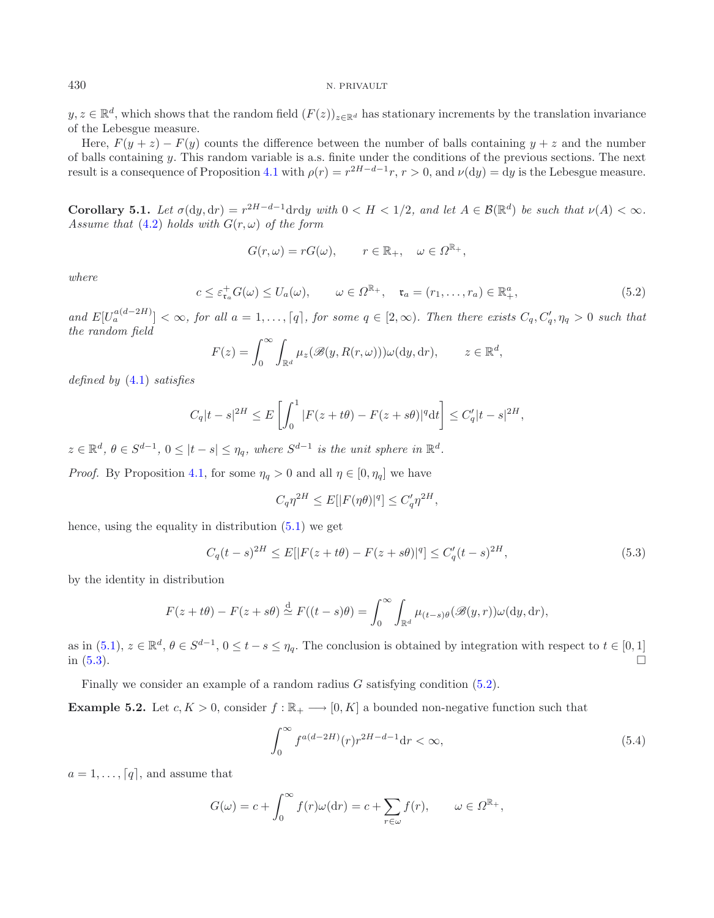<span id="page-13-2"></span><span id="page-13-0"></span> $y, z \in \mathbb{R}^d$ , which shows that the random field  $(F(z))_{z \in \mathbb{R}^d}$  has stationary increments by the translation invariance of the Lebesgue measure.

Here,  $F(y + z) - F(y)$  counts the difference between the number of balls containing  $y + z$  and the number of balls containing y. This random variable is a.s. finite under the conditions of the previous sections. The next result is a consequence of Proposition [4.1](#page-8-0) with  $\rho(r) = r^{2H-d-1}r$ ,  $r > 0$ , and  $\nu(\mathrm{d}y) = \mathrm{d}y$  is the Lebesgue measure.

**Corollary 5.1.** *Let*  $\sigma(dy, dr) = r^{2H-d-1} dr dy$  *with*  $0 < H < 1/2$ *, and let*  $A \in \mathcal{B}(\mathbb{R}^d)$  *be such that*  $\nu(A) < \infty$ *. Assume that* [\(4.2\)](#page-8-4) *holds with*  $G(r, \omega)$  *of the form* 

$$
G(r,\omega) = rG(\omega), \qquad r \in \mathbb{R}_+, \quad \omega \in \Omega^{\mathbb{R}_+},
$$

*where*

$$
c \leq \varepsilon_{\mathfrak{r}_a}^+ G(\omega) \leq U_a(\omega), \qquad \omega \in \Omega^{\mathbb{R}_+}, \quad \mathfrak{r}_a = (r_1, \dots, r_a) \in \mathbb{R}_+^a,
$$
\n
$$
(5.2)
$$

and  $E[U_a^{a(d-2H)}] < \infty$ , for all  $a = 1, \ldots, [q]$ , for some  $q \in [2, \infty)$ . Then there exists  $C_q, C'_q, \eta_q > 0$  such that *the random field*

<span id="page-13-1"></span>
$$
F(z) = \int_0^\infty \int_{\mathbb{R}^d} \mu_z(\mathscr{B}(y, R(r,\omega))) \omega(\mathrm{d}y, \mathrm{d}r), \qquad z \in \mathbb{R}^d,
$$

*defined by* [\(4.1\)](#page-8-3) *satisfies*

$$
C_q|t-s|^{2H} \le E\left[\int_0^1 |F(z+t\theta) - F(z+s\theta)|^q \mathrm{d}t\right] \le C'_q|t-s|^{2H},
$$

 $z \in \mathbb{R}^d$ ,  $\theta \in S^{d-1}$ ,  $0 \leq |t-s| \leq \eta_q$ , where  $S^{d-1}$  *is the unit sphere in*  $\mathbb{R}^d$ .

*Proof.* By Proposition [4.1,](#page-8-0) for some  $\eta_q > 0$  and all  $\eta \in [0, \eta_q]$  we have

<span id="page-13-3"></span>
$$
C_q \eta^{2H} \le E[|F(\eta \theta)|^q] \le C_q' \eta^{2H},
$$

hence, using the equality in distribution  $(5.1)$  we get

$$
C_q(t-s)^{2H} \le E[|F(z+t\theta) - F(z+s\theta)|^q] \le C'_q(t-s)^{2H},\tag{5.3}
$$

by the identity in distribution

$$
F(z+t\theta) - F(z+s\theta) \stackrel{\mathrm{d}}{\simeq} F((t-s)\theta) = \int_0^\infty \int_{\mathbb{R}^d} \mu_{(t-s)\theta}(\mathscr{B}(y,r)) \omega(\mathrm{d}y, \mathrm{d}r),
$$

as in  $(5.1)$ ,  $z \in \mathbb{R}^d$ ,  $\theta \in S^{d-1}$ ,  $0 \le t - s \le \eta_q$ . The conclusion is obtained by integration with respect to  $t \in [0, 1]$ in  $(5.3)$ .  $\Box$ 

Finally we consider an example of a random radius  $G$  satisfying condition  $(5.2)$ .

**Example 5.2.** Let  $c, K > 0$ , consider  $f : \mathbb{R}_+ \longrightarrow [0, K]$  a bounded non-negative function such that

$$
\int_0^\infty f^{a(d-2H)}(r)r^{2H-d-1}\mathrm{d}r < \infty,\tag{5.4}
$$

 $a = 1, \ldots, \lceil q \rceil$ , and assume that

$$
G(\omega) = c + \int_0^\infty f(r)\omega(\mathrm{d}r) = c + \sum_{r \in \omega} f(r), \qquad \omega \in \Omega^{\mathbb{R}_+},
$$